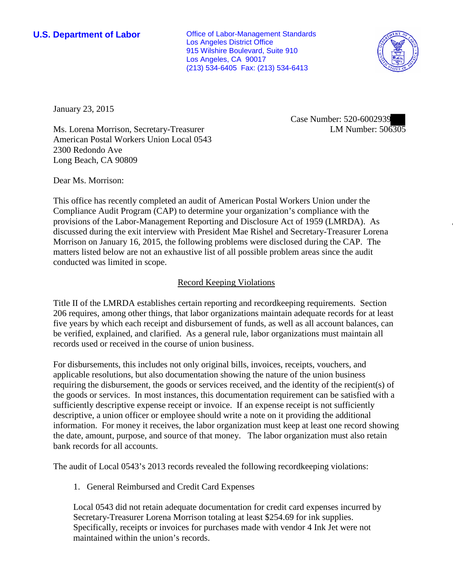**U.S. Department of Labor Conservative Conservative Conservative Conservative Conservative Conservative Conservative Conservative Conservative Conservative Conservative Conservative Conservative Conservative Conservative** Los Angeles District Office 915 Wilshire Boulevard, Suite 910 Los Angeles, CA 90017 (213) 534-6405 Fax: (213) 534-6413



January 23, 2015

Case Number: 520-6002939 LM Number: 506305

Ms. Lorena Morrison, Secretary-Treasurer American Postal Workers Union Local 0543 2300 Redondo Ave Long Beach, CA 90809

Dear Ms. Morrison:

This office has recently completed an audit of American Postal Workers Union under the Compliance Audit Program (CAP) to determine your organization's compliance with the provisions of the Labor-Management Reporting and Disclosure Act of 1959 (LMRDA). As discussed during the exit interview with President Mae Rishel and Secretary-Treasurer Lorena Morrison on January 16, 2015, the following problems were disclosed during the CAP. The matters listed below are not an exhaustive list of all possible problem areas since the audit conducted was limited in scope.

## Record Keeping Violations

Title II of the LMRDA establishes certain reporting and recordkeeping requirements. Section 206 requires, among other things, that labor organizations maintain adequate records for at least five years by which each receipt and disbursement of funds, as well as all account balances, can be verified, explained, and clarified. As a general rule, labor organizations must maintain all records used or received in the course of union business.

For disbursements, this includes not only original bills, invoices, receipts, vouchers, and applicable resolutions, but also documentation showing the nature of the union business requiring the disbursement, the goods or services received, and the identity of the recipient(s) of the goods or services. In most instances, this documentation requirement can be satisfied with a sufficiently descriptive expense receipt or invoice. If an expense receipt is not sufficiently descriptive, a union officer or employee should write a note on it providing the additional information. For money it receives, the labor organization must keep at least one record showing the date, amount, purpose, and source of that money. The labor organization must also retain bank records for all accounts.

The audit of Local 0543's 2013 records revealed the following recordkeeping violations:

1. General Reimbursed and Credit Card Expenses

Local 0543 did not retain adequate documentation for credit card expenses incurred by Secretary-Treasurer Lorena Morrison totaling at least \$254.69 for ink supplies. Specifically, receipts or invoices for purchases made with vendor 4 Ink Jet were not maintained within the union's records.